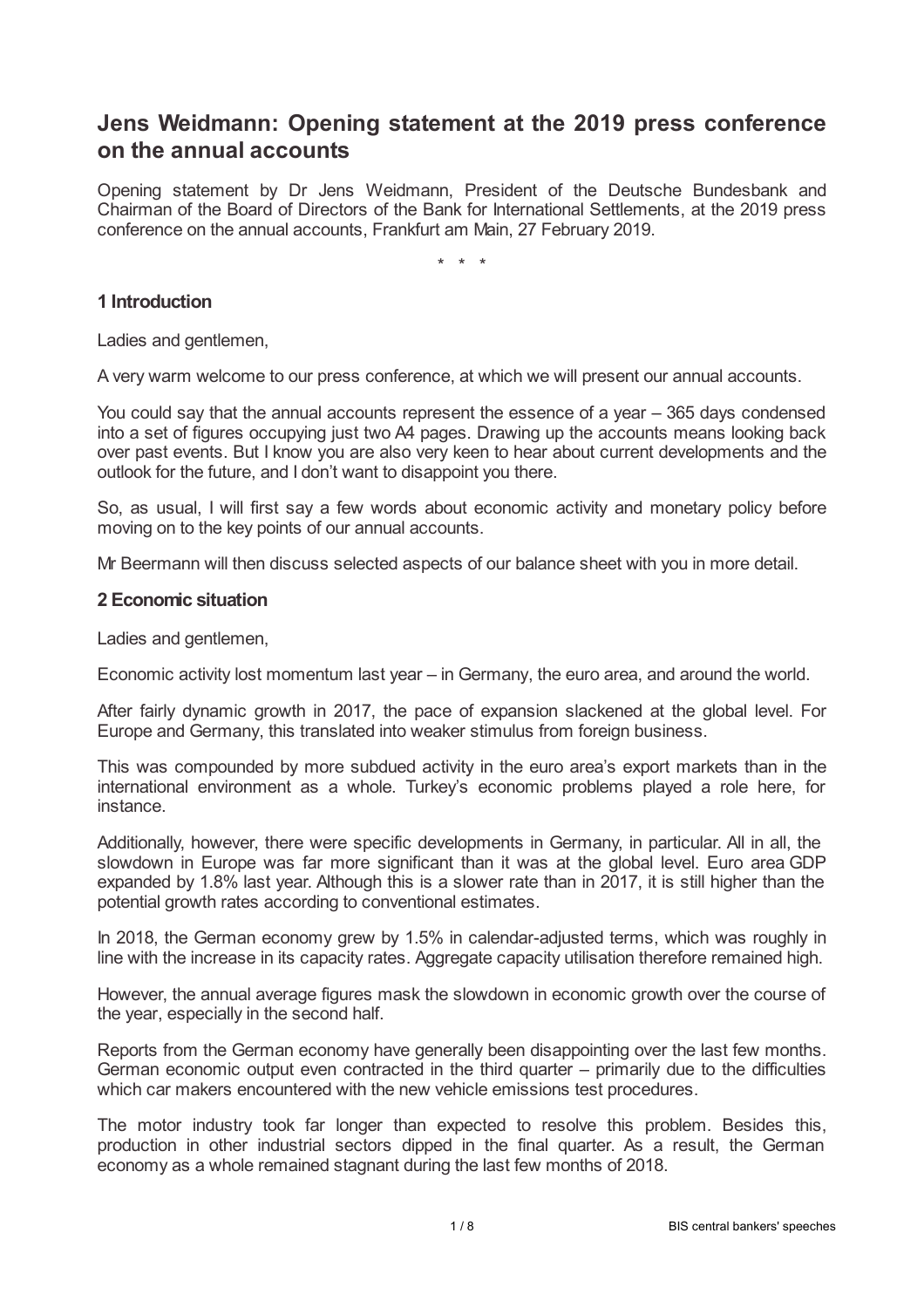# **Jens Weidmann: Opening statement at the 2019 press conference on the annual accounts**

Opening statement by Dr Jens Weidmann, President of the Deutsche Bundesbank and Chairman of the Board of Directors of the Bank for International Settlements, at the 2019 press conference on the annual accounts, Frankfurt am Main, 27 February 2019.

\* \* \*

## **1 Introduction**

Ladies and gentlemen,

A very warm welcome to our press conference, at which we will present our annual accounts.

You could say that the annual accounts represent the essence of a year – 365 days condensed into a set of figures occupying just two A4 pages. Drawing up the accounts means looking back over past events. But I know you are also very keen to hear about current developments and the outlook for the future, and I don't want to disappoint you there.

So, as usual, I will first say a few words about economic activity and monetary policy before moving on to the key points of our annual accounts.

Mr Beermann will then discuss selected aspects of our balance sheet with you in more detail.

#### **2 Economic situation**

Ladies and gentlemen,

Economic activity lost momentum last year – in Germany, the euro area, and around the world.

After fairly dynamic growth in 2017, the pace of expansion slackened at the global level. For Europe and Germany, this translated into weaker stimulus from foreign business.

This was compounded by more subdued activity in the euro area's export markets than in the international environment as a whole. Turkey's economic problems played a role here, for instance.

Additionally, however, there were specific developments in Germany, in particular. All in all, the slowdown in Europe was far more significant than it was at the global level. Euro area GDP expanded by 1.8% last year. Although this is a slower rate than in 2017, it is still higher than the potential growth rates according to conventional estimates.

In 2018, the German economy grew by 1.5% in calendar-adjusted terms, which was roughly in line with the increase in its capacity rates. Aggregate capacity utilisation therefore remained high.

However, the annual average figures mask the slowdown in economic growth over the course of the year, especially in the second half.

Reports from the German economy have generally been disappointing over the last few months. German economic output even contracted in the third quarter – primarily due to the difficulties which car makers encountered with the new vehicle emissions test procedures.

The motor industry took far longer than expected to resolve this problem. Besides this, production in other industrial sectors dipped in the final quarter. As a result, the German economy as a whole remained stagnant during the last few months of 2018.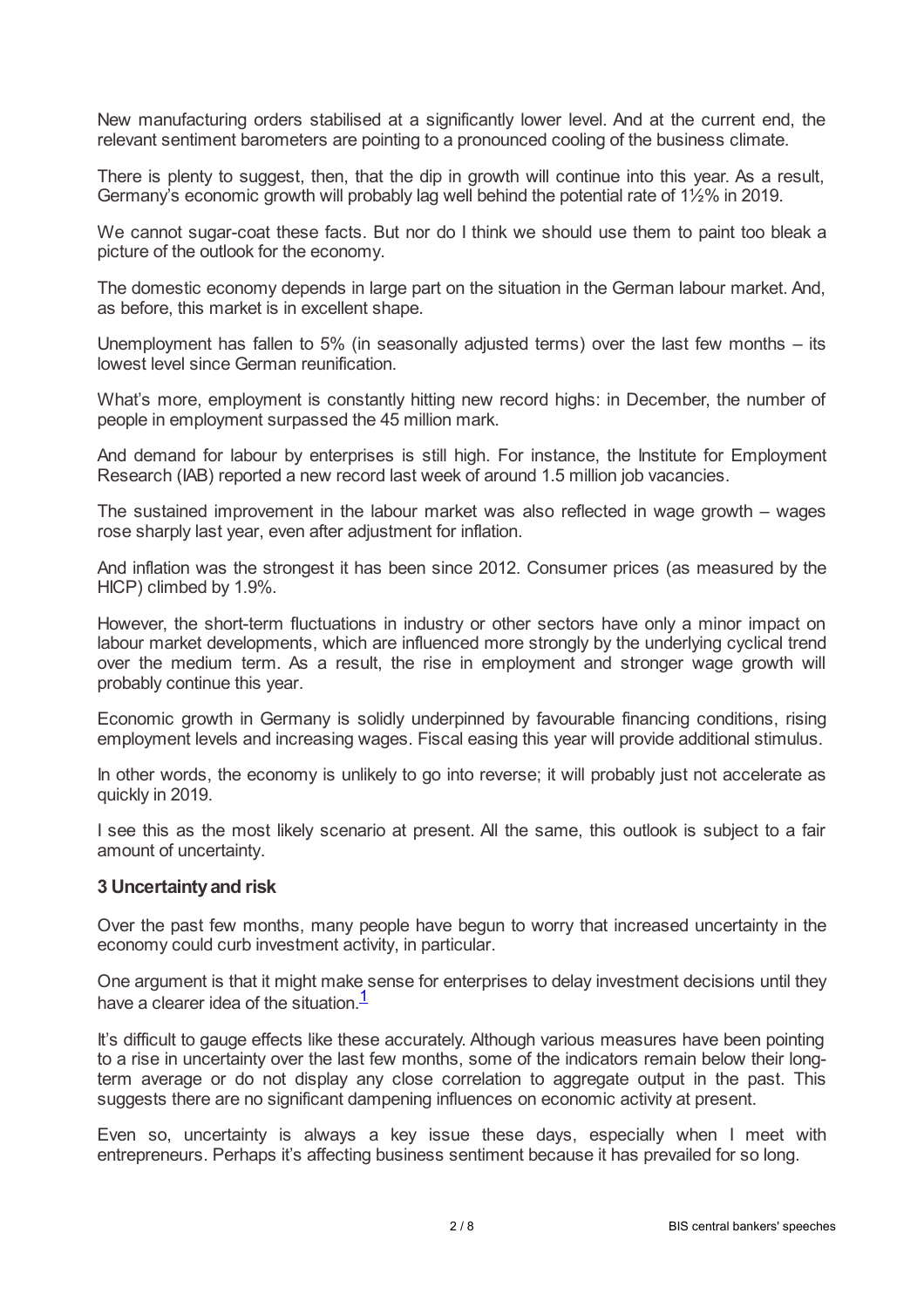New manufacturing orders stabilised at a significantly lower level. And at the current end, the relevant sentiment barometers are pointing to a pronounced cooling of the business climate.

There is plenty to suggest, then, that the dip in growth will continue into this year. As a result, Germany's economic growth will probably lag well behind the potential rate of 1½% in 2019.

We cannot sugar-coat these facts. But nor do I think we should use them to paint too bleak a picture of the outlook for the economy.

The domestic economy depends in large part on the situation in the German labour market. And, as before, this market is in excellent shape.

Unemployment has fallen to 5% (in seasonally adjusted terms) over the last few months – its lowest level since German reunification.

What's more, employment is constantly hitting new record highs: in December, the number of people in employment surpassed the 45 million mark.

And demand for labour by enterprises is still high. For instance, the Institute for Employment Research (IAB) reported a new record last week of around 1.5 million job vacancies.

The sustained improvement in the labour market was also reflected in wage growth – wages rose sharply last year, even after adjustment for inflation.

And inflation was the strongest it has been since 2012. Consumer prices (as measured by the HICP) climbed by 1.9%.

However, the short-term fluctuations in industry or other sectors have only a minor impact on labour market developments, which are influenced more strongly by the underlying cyclical trend over the medium term. As a result, the rise in employment and stronger wage growth will probably continue this year.

Economic growth in Germany is solidly underpinned by favourable financing conditions, rising employment levels and increasing wages. Fiscal easing this year will provide additional stimulus.

In other words, the economy is unlikely to go into reverse; it will probably just not accelerate as quickly in 2019.

I see this as the most likely scenario at present. All the same, this outlook is subject to a fair amount of uncertainty.

#### **3 Uncertaintyand risk**

Over the past few months, many people have begun to worry that increased uncertainty in the economy could curb investment activity, in particular.

<span id="page-1-0"></span>One argument is that it might make sense for enterprises to delay investment decisions until they have a clearer idea of the situation. $1/2$  $1/2$ 

It's difficult to gauge effects like these accurately. Although various measures have been pointing to a rise in uncertainty over the last few months, some of the indicators remain below their longterm average or do not display any close correlation to aggregate output in the past. This suggests there are no significant dampening influences on economic activity at present.

Even so, uncertainty is always a key issue these days, especially when I meet with entrepreneurs. Perhaps it's affecting business sentiment because it has prevailed for so long.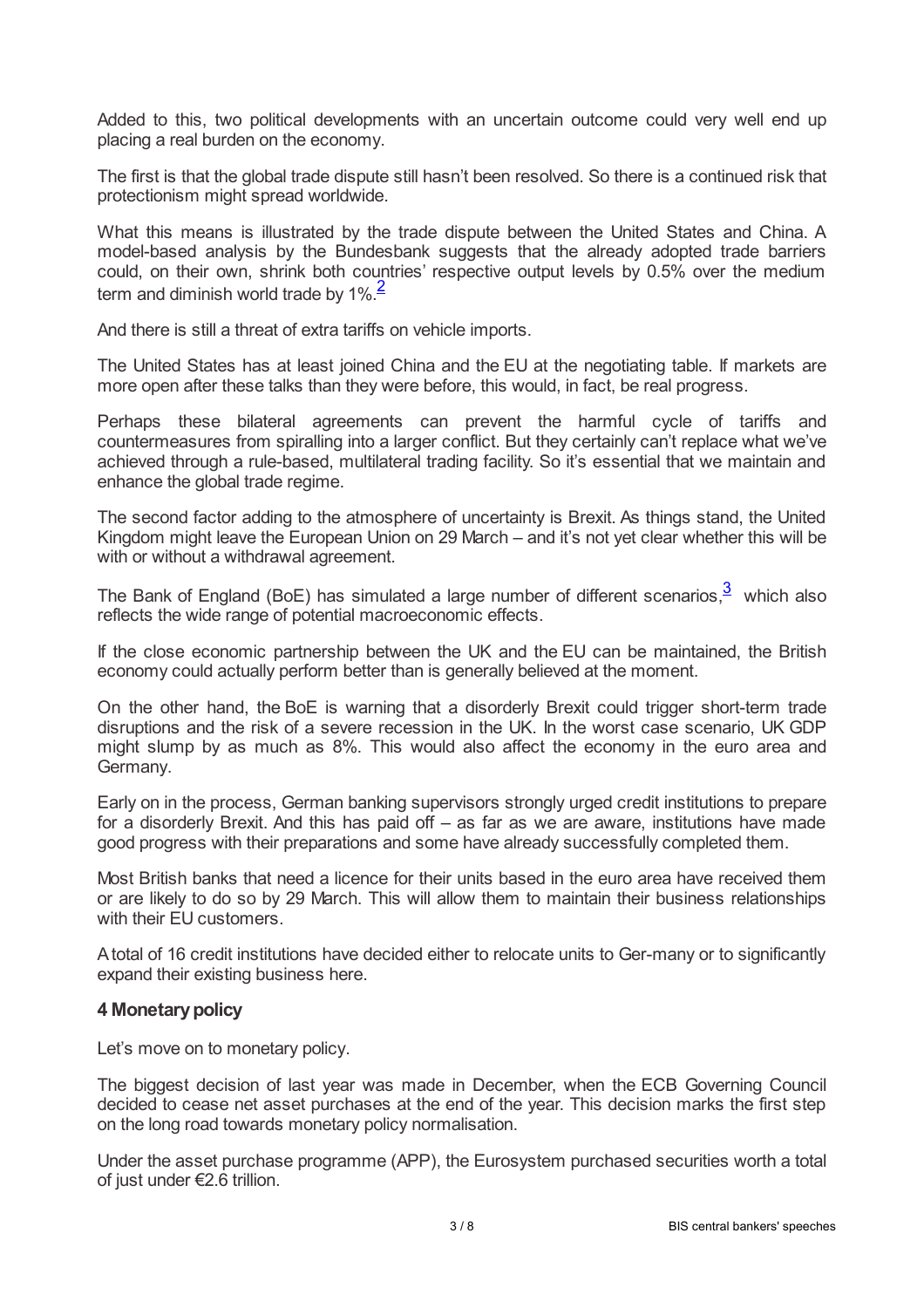Added to this, two political developments with an uncertain outcome could very well end up placing a real burden on the economy.

The first is that the global trade dispute still hasn't been resolved. So there is a continued risk that protectionism might spread worldwide.

What this means is illustrated by the trade dispute between the United States and China. A model-based analysis by the Bundesbank suggests that the already adopted trade barriers could, on their own, shrink both countries' respective output levels by 0.5% over the medium term and diminish world trade by 1%.<sup>[2](#page-7-1)</sup>

<span id="page-2-0"></span>And there is still a threat of extra tariffs on vehicle imports.

The United States has at least joined China and the EU at the negotiating table. If markets are more open after these talks than they were before, this would, in fact, be real progress.

Perhaps these bilateral agreements can prevent the harmful cycle of tariffs and countermeasures from spiralling into a larger conflict. But they certainly can't replace what we've achieved through a rule-based, multilateral trading facility. So it's essential that we maintain and enhance the global trade regime.

The second factor adding to the atmosphere of uncertainty is Brexit. As things stand, the United Kingdom might leave the European Union on 29 March – and it's not yet clear whether this will be with or without a withdrawal agreement.

<span id="page-2-1"></span>The Bank of England (BoE) has simulated a large number of different scenarios, $3\overline{3}$  $3\overline{3}$  which also reflects the wide range of potential macroeconomic effects.

If the close economic partnership between the UK and the EU can be maintained, the British economy could actually perform better than is generally believed at the moment.

On the other hand, the BoE is warning that a disorderly Brexit could trigger short-term trade disruptions and the risk of a severe recession in the UK. In the worst case scenario, UK GDP might slump by as much as 8%. This would also affect the economy in the euro area and Germany.

Early on in the process, German banking supervisors strongly urged credit institutions to prepare for a disorderly Brexit. And this has paid off – as far as we are aware, institutions have made good progress with their preparations and some have already successfully completed them.

Most British banks that need a licence for their units based in the euro area have received them or are likely to do so by 29 March. This will allow them to maintain their business relationships with their EU customers.

Atotal of 16 credit institutions have decided either to relocate units to Ger-many or to significantly expand their existing business here.

### **4 Monetarypolicy**

Let's move on to monetary policy.

The biggest decision of last year was made in December, when the ECB Governing Council decided to cease net asset purchases at the end of the year. This decision marks the first step on the long road towards monetary policy normalisation.

Under the asset purchase programme (APP), the Eurosystem purchased securities worth a total of just under €2.6 trillion.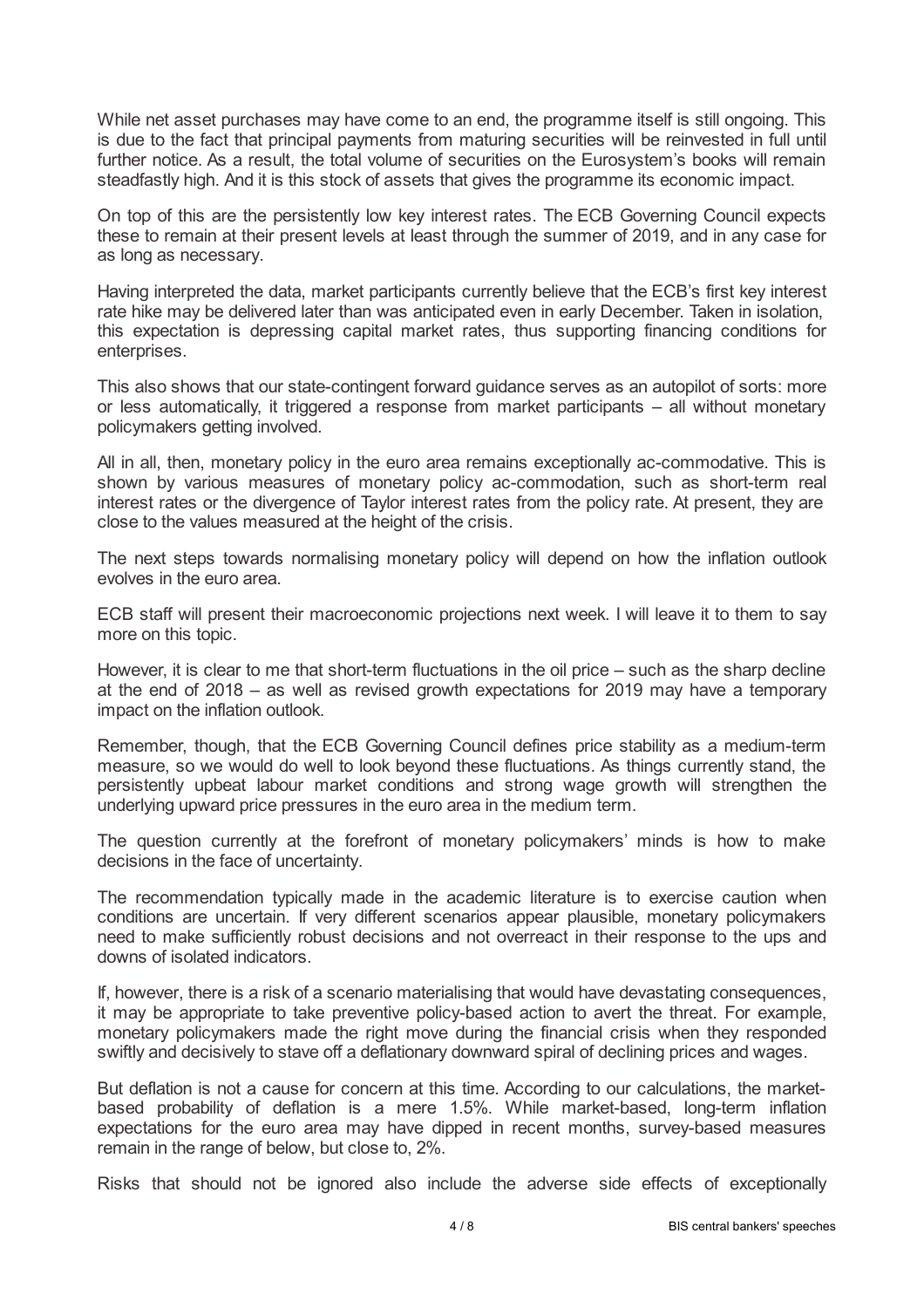While net asset purchases may have come to an end, the programme itself is still ongoing. This is due to the fact that principal payments from maturing securities will be reinvested in full until further notice. As a result, the total volume of securities on the Eurosystem's books will remain steadfastly high. And it is this stock of assets that gives the programme its economic impact.

On top of this are the persistently low key interest rates. The ECB Governing Council expects these to remain at their present levels at least through the summer of 2019, and in any case for as long as necessary.

Having interpreted the data, market participants currently believe that the ECB's first key interest rate hike may be delivered later than was anticipated even in early December. Taken in isolation, this expectation is depressing capital market rates, thus supporting financing conditions for enterprises.

This also shows that our state-contingent forward guidance serves as an autopilot of sorts: more or less automatically, it triggered a response from market participants – all without monetary policymakers getting involved.

All in all, then, monetary policy in the euro area remains exceptionally ac-commodative. This is shown by various measures of monetary policy ac-commodation, such as short-term real interest rates or the divergence of Taylor interest rates from the policy rate. At present, they are close to the values measured at the height of the crisis.

The next steps towards normalising monetary policy will depend on how the inflation outlook evolves in the euro area.

ECB staff will present their macroeconomic projections next week. I will leave it to them to say more on this topic.

However, it is clear to me that short-term fluctuations in the oil price – such as the sharp decline at the end of 2018 – as well as revised growth expectations for 2019 may have a temporary impact on the inflation outlook.

Remember, though, that the ECB Governing Council defines price stability as a medium-term measure, so we would do well to look beyond these fluctuations. As things currently stand, the persistently upbeat labour market conditions and strong wage growth will strengthen the underlying upward price pressures in the euro area in the medium term.

The question currently at the forefront of monetary policymakers' minds is how to make decisions in the face of uncertainty.

The recommendation typically made in the academic literature is to exercise caution when conditions are uncertain. If very different scenarios appear plausible, monetary policymakers need to make sufficiently robust decisions and not overreact in their response to the ups and downs of isolated indicators.

If, however, there is a risk of a scenario materialising that would have devastating consequences, it may be appropriate to take preventive policy-based action to avert the threat. For example, monetary policymakers made the right move during the financial crisis when they responded swiftly and decisively to stave off a deflationary downward spiral of declining prices and wages.

But deflation is not a cause for concern at this time. According to our calculations, the marketbased probability of deflation is a mere 1.5%. While market-based, long-term inflation expectations for the euro area may have dipped in recent months, survey-based measures remain in the range of below, but close to, 2%.

Risks that should not be ignored also include the adverse side effects of exceptionally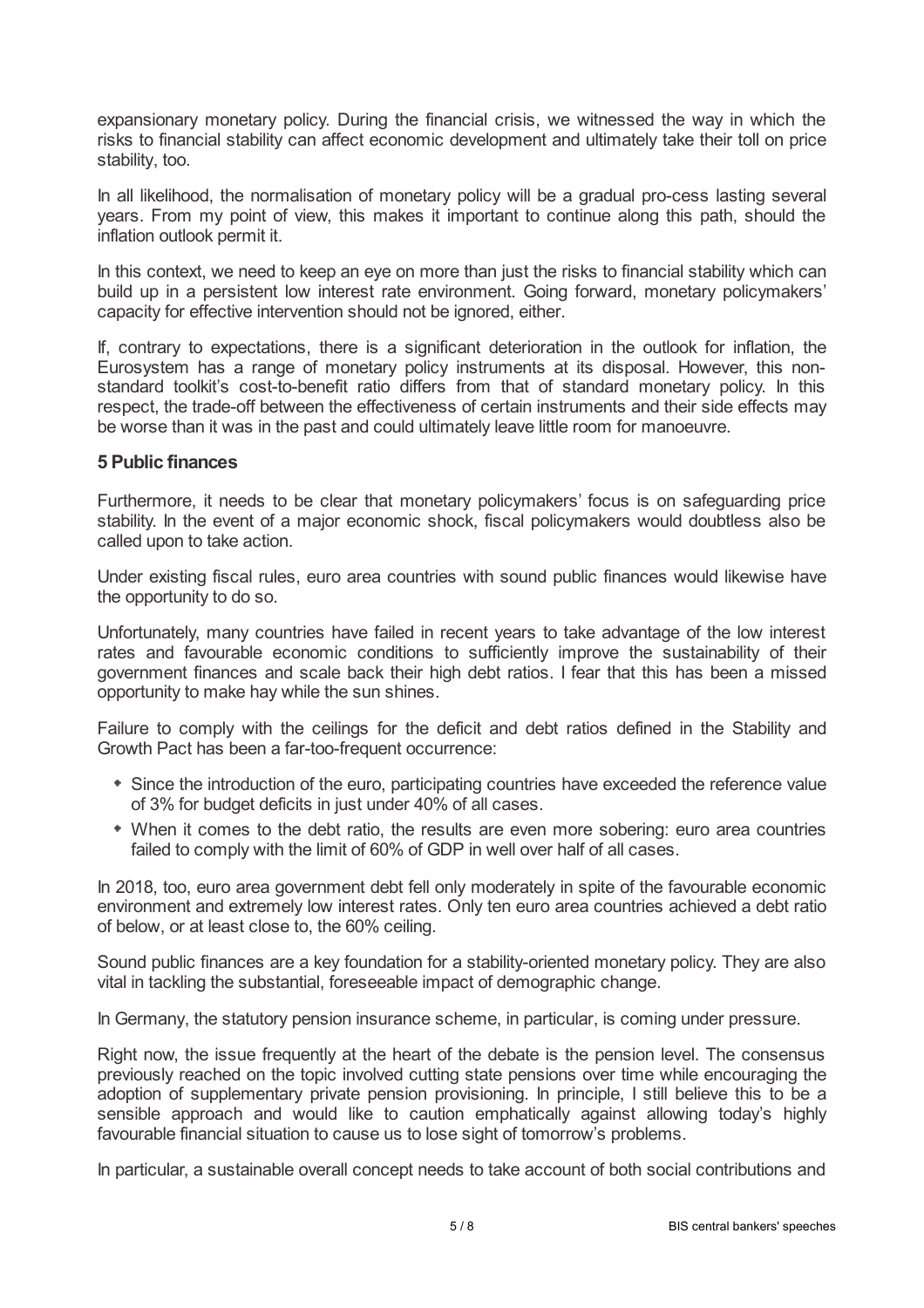expansionary monetary policy. During the financial crisis, we witnessed the way in which the risks to financial stability can affect economic development and ultimately take their toll on price stability, too.

In all likelihood, the normalisation of monetary policy will be a gradual pro-cess lasting several years. From my point of view, this makes it important to continue along this path, should the inflation outlook permit it.

In this context, we need to keep an eye on more than just the risks to financial stability which can build up in a persistent low interest rate environment. Going forward, monetary policymakers' capacity for effective intervention should not be ignored, either.

If, contrary to expectations, there is a significant deterioration in the outlook for inflation, the Eurosystem has a range of monetary policy instruments at its disposal. However, this nonstandard toolkit's cost-to-benefit ratio differs from that of standard monetary policy. In this respect, the trade-off between the effectiveness of certain instruments and their side effects may be worse than it was in the past and could ultimately leave little room for manoeuvre.

### **5 Public finances**

Furthermore, it needs to be clear that monetary policymakers' focus is on safeguarding price stability. In the event of a major economic shock, fiscal policymakers would doubtless also be called upon to take action.

Under existing fiscal rules, euro area countries with sound public finances would likewise have the opportunity to do so.

Unfortunately, many countries have failed in recent years to take advantage of the low interest rates and favourable economic conditions to sufficiently improve the sustainability of their government finances and scale back their high debt ratios. I fear that this has been a missed opportunity to make hay while the sun shines.

Failure to comply with the ceilings for the deficit and debt ratios defined in the Stability and Growth Pact has been a far-too-frequent occurrence:

- Since the introduction of the euro, participating countries have exceeded the reference value of 3% for budget deficits in just under 40% of all cases.
- When it comes to the debt ratio, the results are even more sobering: euro area countries failed to comply with the limit of 60% of GDP in well over half of all cases.

In 2018, too, euro area government debt fell only moderately in spite of the favourable economic environment and extremely low interest rates. Only ten euro area countries achieved a debt ratio of below, or at least close to, the 60% ceiling.

Sound public finances are a key foundation for a stability-oriented monetary policy. They are also vital in tackling the substantial, foreseeable impact of demographic change.

In Germany, the statutory pension insurance scheme, in particular, is coming under pressure.

Right now, the issue frequently at the heart of the debate is the pension level. The consensus previously reached on the topic involved cutting state pensions over time while encouraging the adoption of supplementary private pension provisioning. In principle, I still believe this to be a sensible approach and would like to caution emphatically against allowing today's highly favourable financial situation to cause us to lose sight of tomorrow's problems.

In particular, a sustainable overall concept needs to take account of both social contributions and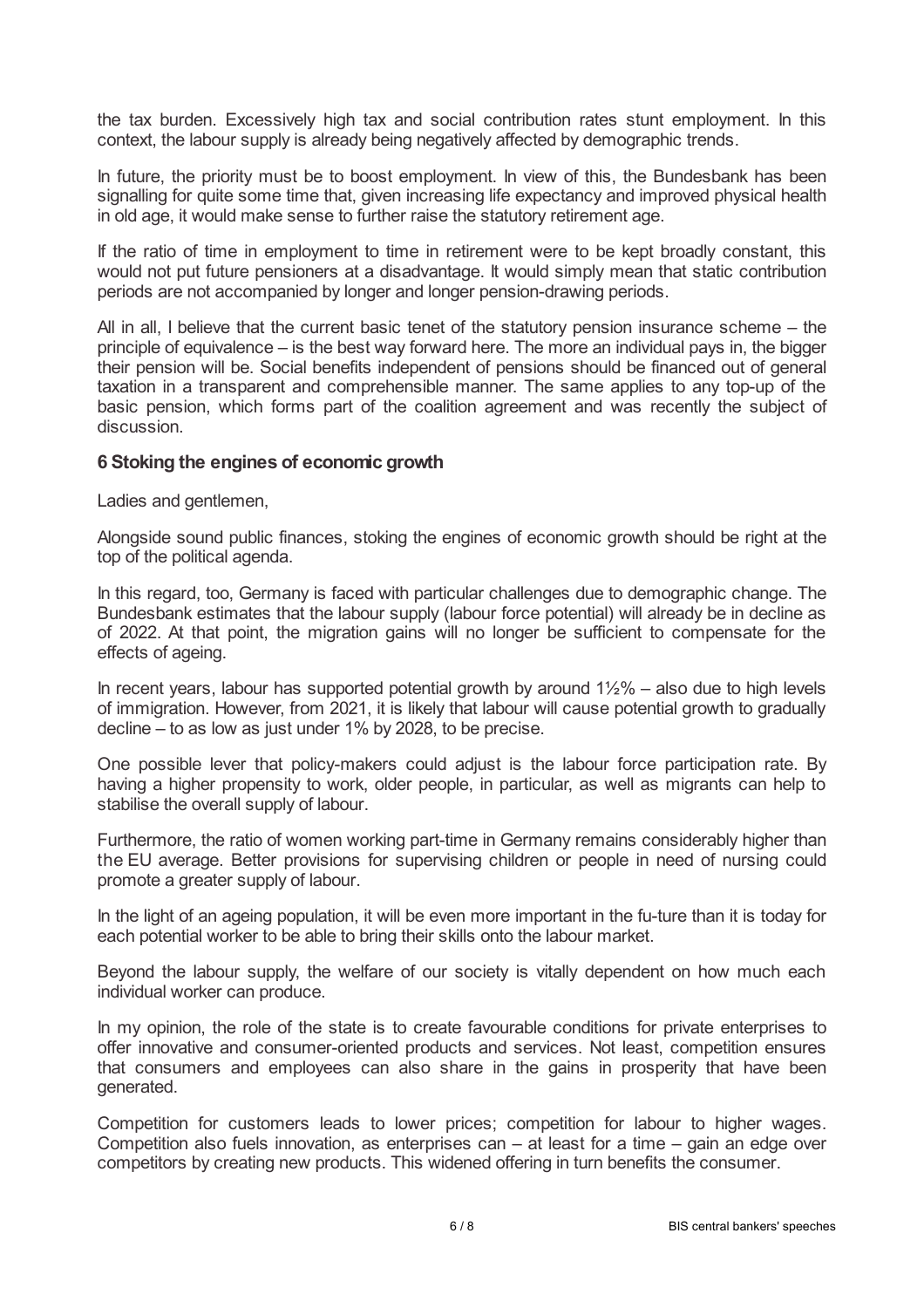the tax burden. Excessively high tax and social contribution rates stunt employment. In this context, the labour supply is already being negatively affected by demographic trends.

In future, the priority must be to boost employment. In view of this, the Bundesbank has been signalling for quite some time that, given increasing life expectancy and improved physical health in old age, it would make sense to further raise the statutory retirement age.

If the ratio of time in employment to time in retirement were to be kept broadly constant, this would not put future pensioners at a disadvantage. It would simply mean that static contribution periods are not accompanied by longer and longer pension-drawing periods.

All in all, I believe that the current basic tenet of the statutory pension insurance scheme – the principle of equivalence – is the best way forward here. The more an individual pays in, the bigger their pension will be. Social benefits independent of pensions should be financed out of general taxation in a transparent and comprehensible manner. The same applies to any top-up of the basic pension, which forms part of the coalition agreement and was recently the subject of discussion.

# **6 Stoking the engines of economic growth**

Ladies and gentlemen,

Alongside sound public finances, stoking the engines of economic growth should be right at the top of the political agenda.

In this regard, too, Germany is faced with particular challenges due to demographic change. The Bundesbank estimates that the labour supply (labour force potential) will already be in decline as of 2022. At that point, the migration gains will no longer be sufficient to compensate for the effects of ageing.

In recent years, labour has supported potential growth by around  $1\frac{1}{2}\%$  – also due to high levels of immigration. However, from 2021, it is likely that labour will cause potential growth to gradually decline – to as low as just under 1% by 2028, to be precise.

One possible lever that policy-makers could adjust is the labour force participation rate. By having a higher propensity to work, older people, in particular, as well as migrants can help to stabilise the overall supply of labour.

Furthermore, the ratio of women working part-time in Germany remains considerably higher than the EU average. Better provisions for supervising children or people in need of nursing could promote a greater supply of labour.

In the light of an ageing population, it will be even more important in the fu-ture than it is today for each potential worker to be able to bring their skills onto the labour market.

Beyond the labour supply, the welfare of our society is vitally dependent on how much each individual worker can produce.

In my opinion, the role of the state is to create favourable conditions for private enterprises to offer innovative and consumer-oriented products and services. Not least, competition ensures that consumers and employees can also share in the gains in prosperity that have been generated.

Competition for customers leads to lower prices; competition for labour to higher wages. Competition also fuels innovation, as enterprises can – at least for a time – gain an edge over competitors by creating new products. This widened offering in turn benefits the consumer.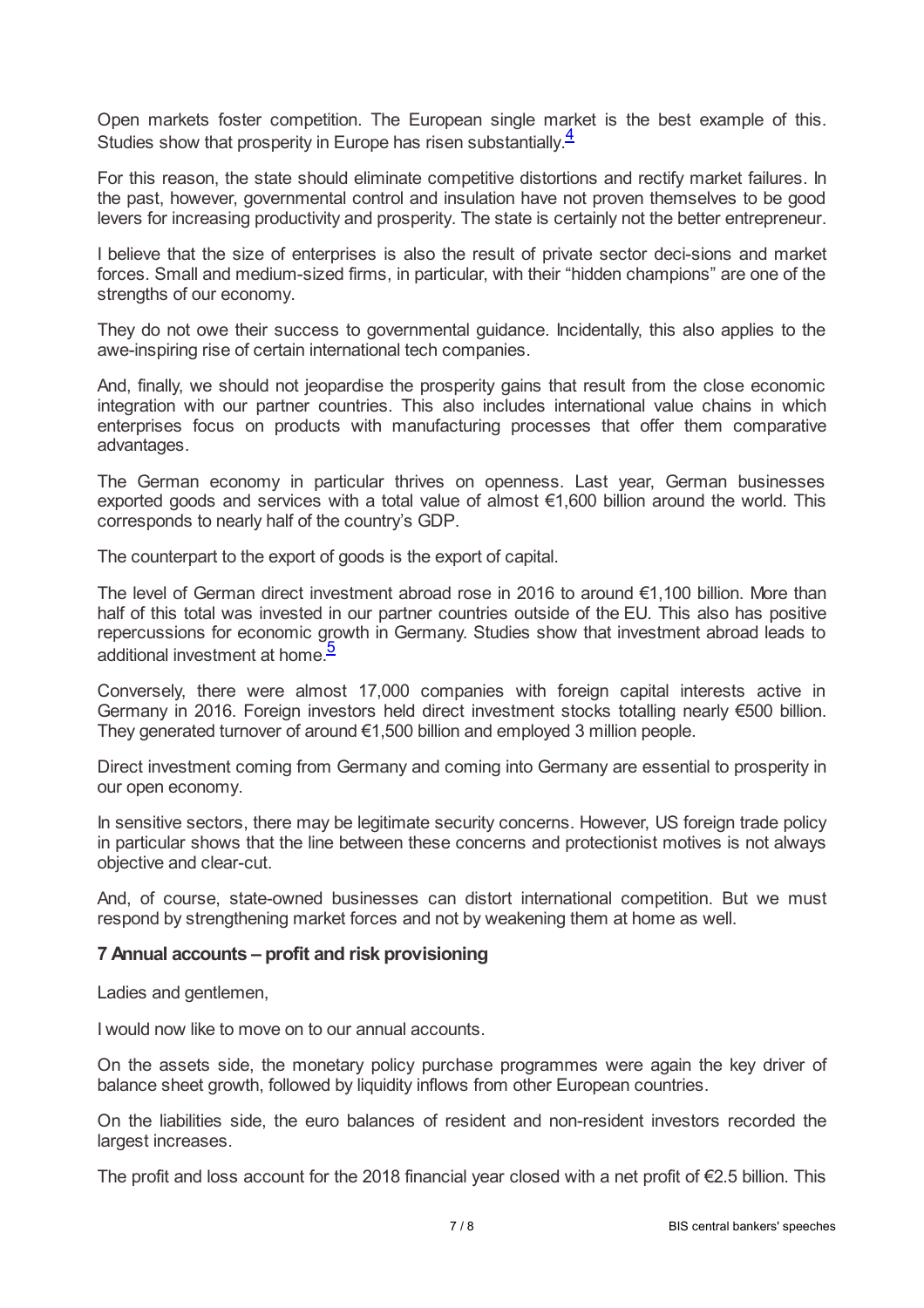<span id="page-6-0"></span>Open markets foster competition. The European single market is the best example of this. Studies show that prosperity in Europe has risen substantially.<sup>[4](#page-7-3)</sup>

For this reason, the state should eliminate competitive distortions and rectify market failures. In the past, however, governmental control and insulation have not proven themselves to be good levers for increasing productivity and prosperity. The state is certainly not the better entrepreneur.

I believe that the size of enterprises is also the result of private sector deci-sions and market forces. Small and medium-sized firms, in particular, with their "hidden champions" are one of the strengths of our economy.

They do not owe their success to governmental guidance. Incidentally, this also applies to the awe-inspiring rise of certain international tech companies.

And, finally, we should not jeopardise the prosperity gains that result from the close economic integration with our partner countries. This also includes international value chains in which enterprises focus on products with manufacturing processes that offer them comparative advantages.

The German economy in particular thrives on openness. Last year, German businesses exported goods and services with a total value of almost €1,600 billion around the world. This corresponds to nearly half of the country's GDP.

The counterpart to the export of goods is the export of capital.

The level of German direct investment abroad rose in 2016 to around €1,100 billion. More than half of this total was invested in our partner countries outside of the EU. This also has positive repercussions for economic growth in Germany. Studies show that investment abroad leads to additional investment at home.<sup>[5](#page-7-4)</sup>

<span id="page-6-1"></span>Conversely, there were almost 17,000 companies with foreign capital interests active in Germany in 2016. Foreign investors held direct investment stocks totalling nearly €500 billion. They generated turnover of around  $\epsilon$ 1,500 billion and employed 3 million people.

Direct investment coming from Germany and coming into Germany are essential to prosperity in our open economy.

In sensitive sectors, there may be legitimate security concerns. However, US foreign trade policy in particular shows that the line between these concerns and protectionist motives is not always objective and clear-cut.

And, of course, state-owned businesses can distort international competition. But we must respond by strengthening market forces and not by weakening them at home as well.

### **7 Annual accounts – profit and risk provisioning**

Ladies and gentlemen,

I would now like to move on to our annual accounts.

On the assets side, the monetary policy purchase programmes were again the key driver of balance sheet growth, followed by liquidity inflows from other European countries.

On the liabilities side, the euro balances of resident and non-resident investors recorded the largest increases.

The profit and loss account for the 2018 financial year closed with a net profit of €2.5 billion. This